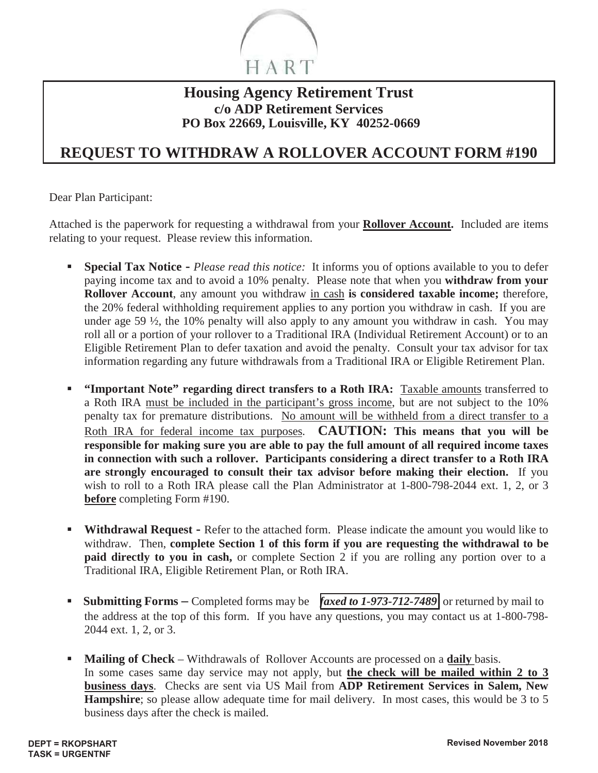

### **Housing Agency Retirement Trust c/o ADP Retirement Services PO Box 22669, Louisville, KY 40252-0669**

## **REQUEST TO WITHDRAW A ROLLOVER ACCOUNT FORM #190**

Dear Plan Participant:

Attached is the paperwork for requesting a withdrawal from your **Rollover Account.** Included are items relating to your request. Please review this information.

- **Special Tax Notice -** *Please read this notice:* It informs you of options available to you to defer paying income tax and to avoid a 10% penalty. Please note that when you **withdraw from your Rollover Account**, any amount you withdraw in cash **is considered taxable income;** therefore, the 20% federal withholding requirement applies to any portion you withdraw in cash. If you are under age 59 ½, the 10% penalty will also apply to any amount you withdraw in cash. You may roll all or a portion of your rollover to a Traditional IRA (Individual Retirement Account) or to an Eligible Retirement Plan to defer taxation and avoid the penalty. Consult your tax advisor for tax information regarding any future withdrawals from a Traditional IRA or Eligible Retirement Plan.
- **"Important Note" regarding direct transfers to a Roth IRA:** Taxable amounts transferred to a Roth IRA must be included in the participant's gross income, but are not subject to the 10% penalty tax for premature distributions. No amount will be withheld from a direct transfer to a Roth IRA for federal income tax purposes. **CAUTION: This means that you will be responsible for making sure you are able to pay the full amount of all required income taxes in connection with such a rollover. Participants considering a direct transfer to a Roth IRA are strongly encouraged to consult their tax advisor before making their election.** If you wish to roll to a Roth IRA please call the Plan Administrator at 1-800-798-2044 ext. 1, 2, or 3 **before** completing Form #190.
- **Withdrawal Request -** Refer to the attached form. Please indicate the amount you would like to withdraw. Then, **complete Section 1 of this form if you are requesting the withdrawal to be paid directly to you in cash,** or complete Section 2 if you are rolling any portion over to a Traditional IRA, Eligible Retirement Plan, or Roth IRA.
- **Submitting Forms** Completed forms may be  $\int$  *faxed to 1-973-712-7489* or returned by mail to the address at the top of this form. If you have any questions, you may contact us at 1-800-798- 2044 ext. 1, 2, or 3.
- **Mailing of Check** Withdrawals of Rollover Accounts are processed on a **daily** basis. In some cases same day service may not apply, but **the check will be mailed within 2 to 3 business days**. Checks are sent via US Mail from **ADP Retirement Services in Salem, New Hampshire**; so please allow adequate time for mail delivery. In most cases, this would be 3 to 5 business days after the check is mailed.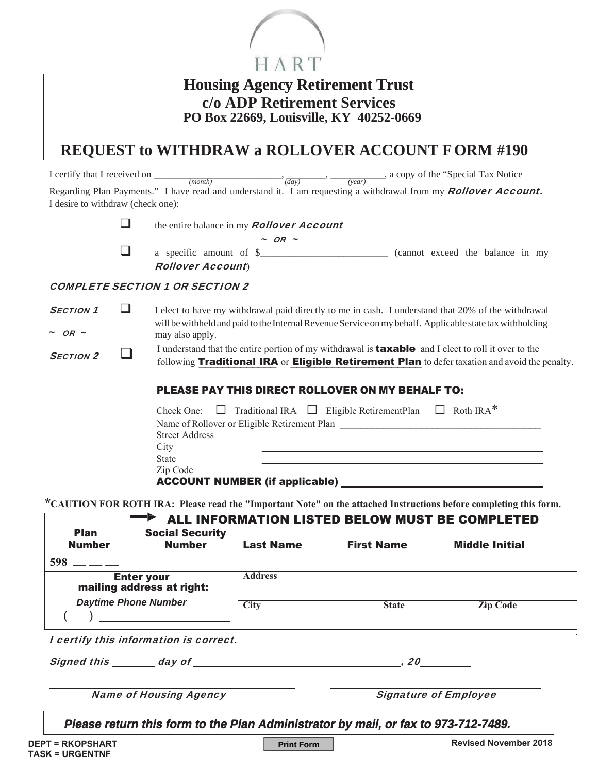

| <b>Housing Agency Retirement Trust</b>  |
|-----------------------------------------|
| c/o ADP Retirement Services             |
| PO Box 22669, Louisville, KY 40252-0669 |

## **REQUEST to WITHDRAW a ROLLOVER ACCOUNT F ORM #190**

I certify that I received on \_\_\_\_\_\_\_\_\_\_\_\_\_\_\_\_\_\_\_\_\_\_\_\_\_\_, \_\_\_\_\_\_\_\_, \_\_\_\_\_\_\_\_\_\_\_, a copy of the "Special Tax Notice *(month) (day) (year)* 1 certify that I received on  $\frac{(month)}{(month)}$ ,  $\frac{(day)}{(day)}$ ,  $\frac{(year)}{(year)}$ , a copy of the "Special Tax Notice Regarding Plan Payments." I have read and understand it. I am requesting a withdrawal from my **Rollover Account.** I desire to withdraw (check one):

the entire balance in my **Rollover Account** 

| . | ۰, | w<br>۰. |
|---|----|---------|
|   |    |         |

 $\Box$  a specific amount of  $\S$  (cannot exceed the balance in my Rollover Account)

#### COMPLETE SECTION 1 OR SECTION 2

**SECTION 1 I** elect to have my withdrawal paid directly to me in cash. I understand that 20% of the withdrawal will be withheld and paid to the Internal Revenue Service on my behalf. Applicable state tax withholding  $\sim$  OR  $\sim$ may also apply.

 $S_{ECTION 2}$ I understand that the entire portion of my withdrawal is **taxable** and I elect to roll it over to the following **Traditional IRA** or **Eligible Retirement Plan** to defer taxation and avoid the penalty.

#### PLEASE PAY THIS DIRECT ROLLOVER ON MY BEHALF TO:

|                                       | Check One: $\Box$ Traditional IRA $\Box$ Eligible RetirementPlan $\Box$ Roth IRA* |  |
|---------------------------------------|-----------------------------------------------------------------------------------|--|
|                                       | Name of Rollover or Eligible Retirement Plan                                      |  |
| <b>Street Address</b>                 |                                                                                   |  |
| City                                  |                                                                                   |  |
| <b>State</b>                          |                                                                                   |  |
| Zip Code                              |                                                                                   |  |
| <b>ACCOUNT NUMBER (if applicable)</b> |                                                                                   |  |

<sup>\*</sup>CAUTION FOR ROTH IRA: Please read the "Important Note" on the attached Instructions before completing this form.

| ALL INFORMATION LISTED BELOW MUST BE COMPLETED                         |                                         |                  |                   |                       |  |
|------------------------------------------------------------------------|-----------------------------------------|------------------|-------------------|-----------------------|--|
| <b>Plan</b><br><b>Number</b>                                           | <b>Social Security</b><br><b>Number</b> | <b>Last Name</b> | <b>First Name</b> | <b>Middle Initial</b> |  |
| 598                                                                    |                                         |                  |                   |                       |  |
| Enter your<br>mailing address at right:<br><b>Daytime Phone Number</b> |                                         | <b>Address</b>   |                   |                       |  |
|                                                                        |                                         | <b>City</b>      | <b>State</b>      | <b>Zip Code</b>       |  |
|                                                                        | I certify this information is correct.  |                  |                   |                       |  |

Signed this day of the same of the state of the state of the state of the state of the state of the state of the state of the state of the state of the state of the state of the state of the state of the state of the state

Name of Housing Agency **Name of Employee** 

Please return this form to the Plan Administrator by mail, or fax to 973-712-7489.

**Print Form**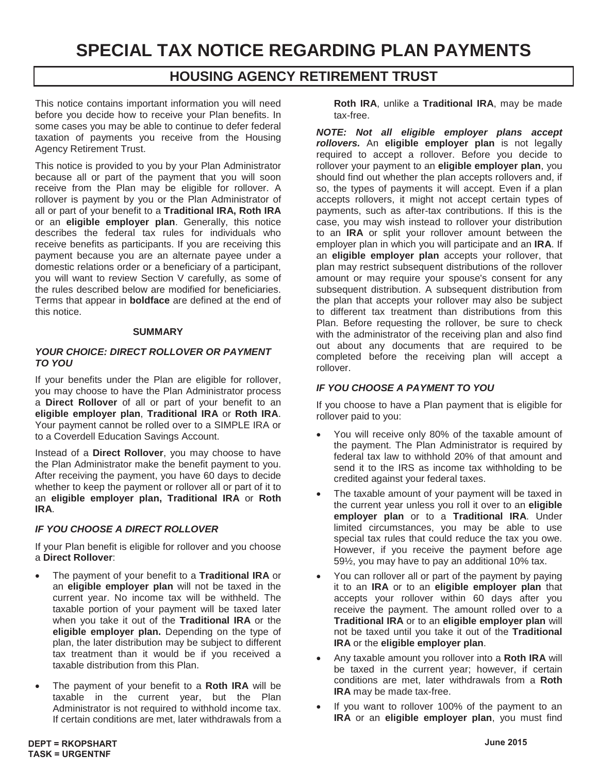# **SPECIAL TAX NOTICE REGARDING PLAN PAYMENTS**

### **HOUSING AGENCY RETIREMENT TRUST**

This notice contains important information you will need before you decide how to receive your Plan benefits. In some cases you may be able to continue to defer federal taxation of payments you receive from the Housing Agency Retirement Trust.

This notice is provided to you by your Plan Administrator because all or part of the payment that you will soon receive from the Plan may be eligible for rollover. A rollover is payment by you or the Plan Administrator of all or part of your benefit to a **Traditional IRA, Roth IRA** or an **eligible employer plan**. Generally, this notice describes the federal tax rules for individuals who receive benefits as participants. If you are receiving this payment because you are an alternate payee under a domestic relations order or a beneficiary of a participant, you will want to review Section V carefully, as some of the rules described below are modified for beneficiaries. Terms that appear in **boldface** are defined at the end of this notice.

#### **SUMMARY**

#### *YOUR CHOICE: DIRECT ROLLOVER OR PAYMENT TO YOU*

If your benefits under the Plan are eligible for rollover, you may choose to have the Plan Administrator process a **Direct Rollover** of all or part of your benefit to an **eligible employer plan**, **Traditional IRA** or **Roth IRA**. Your payment cannot be rolled over to a SIMPLE IRA or to a Coverdell Education Savings Account.

Instead of a **Direct Rollover**, you may choose to have the Plan Administrator make the benefit payment to you. After receiving the payment, you have 60 days to decide whether to keep the payment or rollover all or part of it to an **eligible employer plan, Traditional IRA** or **Roth IRA**.

#### *IF YOU CHOOSE A DIRECT ROLLOVER*

If your Plan benefit is eligible for rollover and you choose a **Direct Rollover**:

- x The payment of your benefit to a **Traditional IRA** or an **eligible employer plan** will not be taxed in the current year. No income tax will be withheld. The taxable portion of your payment will be taxed later when you take it out of the **Traditional IRA** or the **eligible employer plan.** Depending on the type of plan, the later distribution may be subject to different tax treatment than it would be if you received a taxable distribution from this Plan.
- The payment of your benefit to a Roth IRA will be taxable in the current year, but the Plan Administrator is not required to withhold income tax. If certain conditions are met, later withdrawals from a

**Roth IRA**, unlike a **Traditional IRA**, may be made tax-free.

*NOTE: Not all eligible employer plans accept rollovers.* An **eligible employer plan** is not legally required to accept a rollover. Before you decide to rollover your payment to an **eligible employer plan**, you should find out whether the plan accepts rollovers and, if so, the types of payments it will accept. Even if a plan accepts rollovers, it might not accept certain types of payments, such as after-tax contributions. If this is the case, you may wish instead to rollover your distribution to an **IRA** or split your rollover amount between the employer plan in which you will participate and an **IRA**. If an **eligible employer plan** accepts your rollover, that plan may restrict subsequent distributions of the rollover amount or may require your spouse's consent for any subsequent distribution. A subsequent distribution from the plan that accepts your rollover may also be subject to different tax treatment than distributions from this Plan. Before requesting the rollover, be sure to check with the administrator of the receiving plan and also find out about any documents that are required to be completed before the receiving plan will accept a rollover.

#### *IF YOU CHOOSE A PAYMENT TO YOU*

If you choose to have a Plan payment that is eligible for rollover paid to you:

- You will receive only 80% of the taxable amount of the payment. The Plan Administrator is required by federal tax law to withhold 20% of that amount and send it to the IRS as income tax withholding to be credited against your federal taxes.
- The taxable amount of your payment will be taxed in the current year unless you roll it over to an **eligible employer plan** or to a **Traditional IRA**. Under limited circumstances, you may be able to use special tax rules that could reduce the tax you owe. However, if you receive the payment before age 59½, you may have to pay an additional 10% tax.
- You can rollover all or part of the payment by paying it to an **IRA** or to an **eligible employer plan** that accepts your rollover within 60 days after you receive the payment. The amount rolled over to a **Traditional IRA** or to an **eligible employer plan** will not be taxed until you take it out of the **Traditional IRA** or the **eligible employer plan**.
- Any taxable amount you rollover into a Roth IRA will be taxed in the current year; however, if certain conditions are met, later withdrawals from a **Roth IRA** may be made tax-free.
- If you want to rollover 100% of the payment to an **IRA** or an **eligible employer plan**, you must find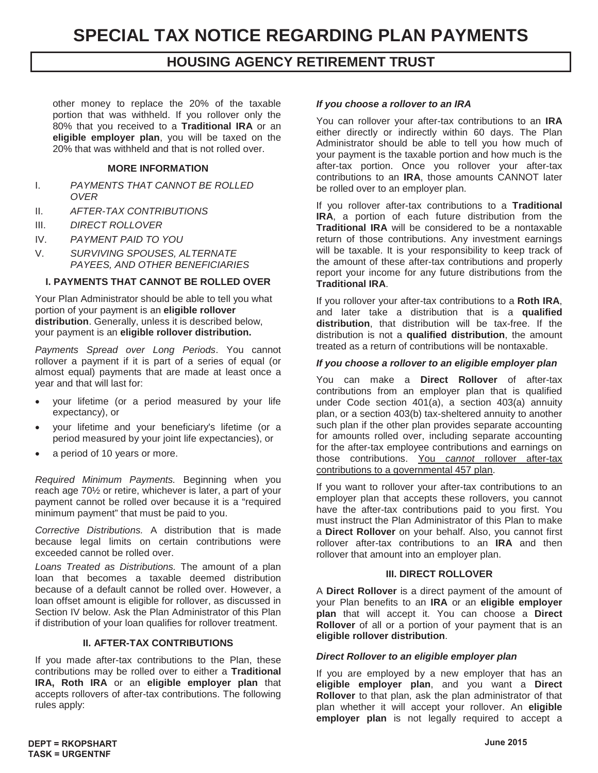other money to replace the 20% of the taxable portion that was withheld. If you rollover only the 80% that you received to a **Traditional IRA** or an **eligible employer plan**, you will be taxed on the 20% that was withheld and that is not rolled over.

#### **MORE INFORMATION**

- I. *PAYMENTS THAT CANNOT BE ROLLED OVER*
- II. *AFTER-TAX CONTRIBUTIONS*
- III. *DIRECT ROLLOVER*
- IV. *PAYMENT PAID TO YOU*
- V. *SURVIVING SPOUSES, ALTERNATE PAYEES, AND OTHER BENEFICIARIES*

#### **I. PAYMENTS THAT CANNOT BE ROLLED OVER**

Your Plan Administrator should be able to tell you what portion of your payment is an **eligible rollover distribution**. Generally, unless it is described below, your payment is an **eligible rollover distribution.**

*Payments Spread over Long Periods*. You cannot rollover a payment if it is part of a series of equal (or almost equal) payments that are made at least once a year and that will last for:

- your lifetime (or a period measured by your life expectancy), or
- your lifetime and your beneficiary's lifetime (or a period measured by your joint life expectancies), or
- a period of 10 years or more.

*Required Minimum Payments.* Beginning when you reach age 70½ or retire, whichever is later, a part of your payment cannot be rolled over because it is a "required minimum payment" that must be paid to you.

*Corrective Distributions.* A distribution that is made because legal limits on certain contributions were exceeded cannot be rolled over.

*Loans Treated as Distributions.* The amount of a plan loan that becomes a taxable deemed distribution because of a default cannot be rolled over. However, a loan offset amount is eligible for rollover, as discussed in Section IV below. Ask the Plan Administrator of this Plan if distribution of your loan qualifies for rollover treatment.

#### **II. AFTER-TAX CONTRIBUTIONS**

If you made after-tax contributions to the Plan, these contributions may be rolled over to either a **Traditional IRA, Roth IRA** or an **eligible employer plan** that accepts rollovers of after-tax contributions. The following rules apply:

#### *If you choose a rollover to an IRA*

You can rollover your after-tax contributions to an **IRA** either directly or indirectly within 60 days. The Plan Administrator should be able to tell you how much of your payment is the taxable portion and how much is the after-tax portion. Once you rollover your after-tax contributions to an **IRA**, those amounts CANNOT later be rolled over to an employer plan.

If you rollover after-tax contributions to a **Traditional IRA**, a portion of each future distribution from the **Traditional IRA** will be considered to be a nontaxable return of those contributions. Any investment earnings will be taxable. It is your responsibility to keep track of the amount of these after-tax contributions and properly report your income for any future distributions from the **Traditional IRA**.

If you rollover your after-tax contributions to a **Roth IRA**, and later take a distribution that is a **qualified distribution**, that distribution will be tax-free. If the distribution is not a **qualified distribution**, the amount treated as a return of contributions will be nontaxable.

#### *If you choose a rollover to an eligible employer plan*

You can make a **Direct Rollover** of after-tax contributions from an employer plan that is qualified under Code section 401(a), a section 403(a) annuity plan, or a section 403(b) tax-sheltered annuity to another such plan if the other plan provides separate accounting for amounts rolled over, including separate accounting for the after-tax employee contributions and earnings on those contributions. You *cannot* rollover after-tax contributions to a governmental 457 plan.

If you want to rollover your after-tax contributions to an employer plan that accepts these rollovers, you cannot have the after-tax contributions paid to you first. You must instruct the Plan Administrator of this Plan to make a **Direct Rollover** on your behalf. Also, you cannot first rollover after-tax contributions to an **IRA** and then rollover that amount into an employer plan.

#### **III. DIRECT ROLLOVER**

A **Direct Rollover** is a direct payment of the amount of your Plan benefits to an **IRA** or an **eligible employer plan** that will accept it. You can choose a **Direct Rollover** of all or a portion of your payment that is an **eligible rollover distribution**.

#### *Direct Rollover to an eligible employer plan*

If you are employed by a new employer that has an **eligible employer plan**, and you want a **Direct Rollover** to that plan, ask the plan administrator of that plan whether it will accept your rollover. An **eligible employer plan** is not legally required to accept a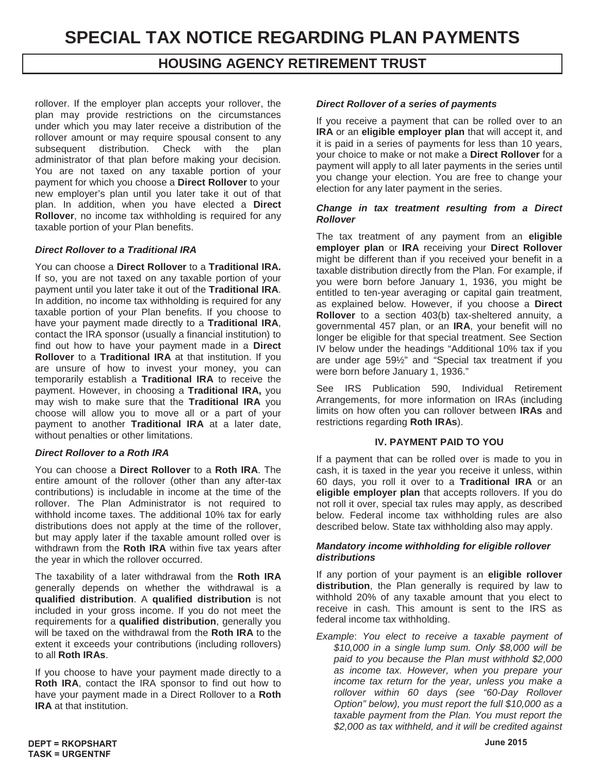rollover. If the employer plan accepts your rollover, the plan may provide restrictions on the circumstances under which you may later receive a distribution of the rollover amount or may require spousal consent to any subsequent distribution. Check with the plan administrator of that plan before making your decision. You are not taxed on any taxable portion of your payment for which you choose a **Direct Rollover** to your new employer's plan until you later take it out of that plan. In addition, when you have elected a **Direct Rollover**, no income tax withholding is required for any taxable portion of your Plan benefits.

#### *Direct Rollover to a Traditional IRA*

You can choose a **Direct Rollover** to a **Traditional IRA.** If so, you are not taxed on any taxable portion of your payment until you later take it out of the **Traditional IRA**. In addition, no income tax withholding is required for any taxable portion of your Plan benefits. If you choose to have your payment made directly to a **Traditional IRA**, contact the IRA sponsor (usually a financial institution) to find out how to have your payment made in a **Direct Rollover** to a **Traditional IRA** at that institution. If you are unsure of how to invest your money, you can temporarily establish a **Traditional IRA** to receive the payment. However, in choosing a **Traditional IRA,** you may wish to make sure that the **Traditional IRA** you choose will allow you to move all or a part of your payment to another **Traditional IRA** at a later date, without penalties or other limitations.

#### *Direct Rollover to a Roth IRA*

You can choose a **Direct Rollover** to a **Roth IRA**. The entire amount of the rollover (other than any after-tax contributions) is includable in income at the time of the rollover. The Plan Administrator is not required to withhold income taxes. The additional 10% tax for early distributions does not apply at the time of the rollover, but may apply later if the taxable amount rolled over is withdrawn from the **Roth IRA** within five tax years after the year in which the rollover occurred.

The taxability of a later withdrawal from the **Roth IRA** generally depends on whether the withdrawal is a **qualified distribution**. A **qualified distribution** is not included in your gross income. If you do not meet the requirements for a **qualified distribution**, generally you will be taxed on the withdrawal from the **Roth IRA** to the extent it exceeds your contributions (including rollovers) to all **Roth IRAs**.

If you choose to have your payment made directly to a **Roth IRA**, contact the IRA sponsor to find out how to have your payment made in a Direct Rollover to a **Roth IRA** at that institution.

#### *Direct Rollover of a series of payments*

If you receive a payment that can be rolled over to an **IRA** or an **eligible employer plan** that will accept it, and it is paid in a series of payments for less than 10 years, your choice to make or not make a **Direct Rollover** for a payment will apply to all later payments in the series until you change your election. You are free to change your election for any later payment in the series.

#### *Change in tax treatment resulting from a Direct Rollover*

The tax treatment of any payment from an **eligible employer plan** or **IRA** receiving your **Direct Rollover** might be different than if you received your benefit in a taxable distribution directly from the Plan. For example, if you were born before January 1, 1936, you might be entitled to ten-year averaging or capital gain treatment, as explained below. However, if you choose a **Direct Rollover** to a section 403(b) tax-sheltered annuity, a governmental 457 plan, or an **IRA**, your benefit will no longer be eligible for that special treatment. See Section IV below under the headings "Additional 10% tax if you are under age 59½" and "Special tax treatment if you were born before January 1, 1936."

See IRS Publication 590, Individual Retirement Arrangements, for more information on IRAs (including limits on how often you can rollover between **IRAs** and restrictions regarding **Roth IRAs**).

#### **IV. PAYMENT PAID TO YOU**

If a payment that can be rolled over is made to you in cash, it is taxed in the year you receive it unless, within 60 days, you roll it over to a **Traditional IRA** or an **eligible employer plan** that accepts rollovers. If you do not roll it over, special tax rules may apply, as described below. Federal income tax withholding rules are also described below. State tax withholding also may apply.

#### *Mandatory income withholding for eligible rollover distributions*

If any portion of your payment is an **eligible rollover distribution**, the Plan generally is required by law to withhold 20% of any taxable amount that you elect to receive in cash. This amount is sent to the IRS as federal income tax withholding.

*Example*: *You elect to receive a taxable payment of \$10,000 in a single lump sum. Only \$8,000 will be paid to you because the Plan must withhold \$2,000 as income tax. However, when you prepare your income tax return for the year, unless you make a rollover within 60 days (see "60-Day Rollover Option" below), you must report the full \$10,000 as a taxable payment from the Plan. You must report the \$2,000 as tax withheld, and it will be credited against*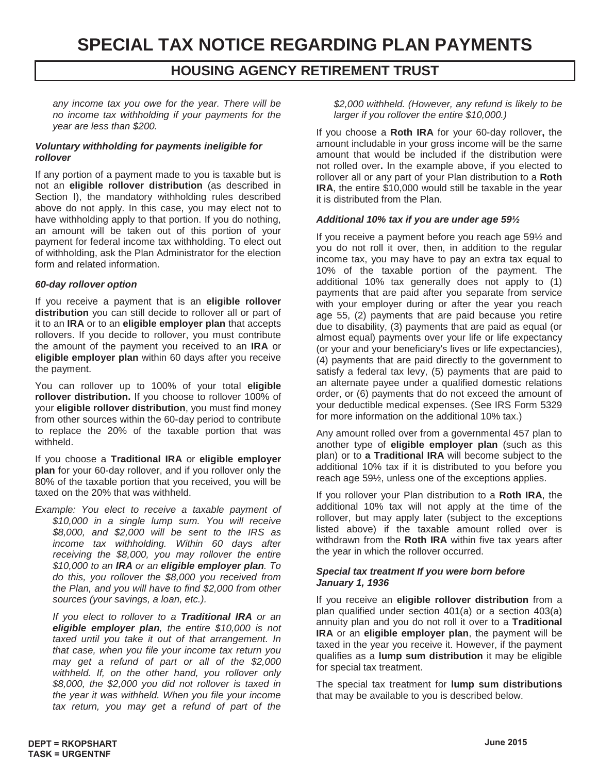# **SPECIAL TAX NOTICE REGARDING PLAN PAYMENTS**

### **HOUSING AGENCY RETIREMENT TRUST**

*any income tax you owe for the year. There will be no income tax withholding if your payments for the year are less than \$200.*

#### *Voluntary withholding for payments ineligible for rollover*

If any portion of a payment made to you is taxable but is not an **eligible rollover distribution** (as described in Section I), the mandatory withholding rules described above do not apply. In this case, you may elect not to have withholding apply to that portion. If you do nothing, an amount will be taken out of this portion of your payment for federal income tax withholding. To elect out of withholding, ask the Plan Administrator for the election form and related information.

#### *60-day rollover option*

If you receive a payment that is an **eligible rollover distribution** you can still decide to rollover all or part of it to an **IRA** or to an **eligible employer plan** that accepts rollovers. If you decide to rollover, you must contribute the amount of the payment you received to an **IRA** or **eligible employer plan** within 60 days after you receive the payment.

You can rollover up to 100% of your total **eligible rollover distribution.** If you choose to rollover 100% of your **eligible rollover distribution**, you must find money from other sources within the 60-day period to contribute to replace the 20% of the taxable portion that was withheld.

If you choose a **Traditional IRA** or **eligible employer plan** for your 60-day rollover, and if you rollover only the 80% of the taxable portion that you received, you will be taxed on the 20% that was withheld.

*Example: You elect to receive a taxable payment of \$10,000 in a single lump sum. You will receive \$8,000, and \$2,000 will be sent to the IRS as income tax withholding. Within 60 days after receiving the \$8,000, you may rollover the entire \$10,000 to an IRA or an eligible employer plan. To do this, you rollover the \$8,000 you received from the Plan, and you will have to find \$2,000 from other sources (your savings, a loan, etc.).* 

*If you elect to rollover to a Traditional IRA or an eligible employer plan, the entire \$10,000 is not taxed until you take it out of that arrangement. In that case, when you file your income tax return you may get a refund of part or all of the \$2,000 withheld. If, on the other hand, you rollover only \$8,000, the \$2,000 you did not rollover is taxed in the year it was withheld. When you file your income tax return, you may get a refund of part of the* 

*\$2,000 withheld. (However, any refund is likely to be larger if you rollover the entire \$10,000.)* 

If you choose a **Roth IRA** for your 60-day rollover**,** the amount includable in your gross income will be the same amount that would be included if the distribution were not rolled over**.** In the example above, if you elected to rollover all or any part of your Plan distribution to a **Roth IRA**, the entire \$10,000 would still be taxable in the year it is distributed from the Plan.

#### *Additional 10% tax if you are under age 59½*

If you receive a payment before you reach age 59½ and you do not roll it over, then, in addition to the regular income tax, you may have to pay an extra tax equal to 10% of the taxable portion of the payment. The additional 10% tax generally does not apply to (1) payments that are paid after you separate from service with your employer during or after the year you reach age 55, (2) payments that are paid because you retire due to disability, (3) payments that are paid as equal (or almost equal) payments over your life or life expectancy (or your and your beneficiary's lives or life expectancies), (4) payments that are paid directly to the government to satisfy a federal tax levy, (5) payments that are paid to an alternate payee under a qualified domestic relations order, or (6) payments that do not exceed the amount of your deductible medical expenses. (See IRS Form 5329 for more information on the additional 10% tax.)

Any amount rolled over from a governmental 457 plan to another type of **eligible employer plan** (such as this plan) or to **a Traditional IRA** will become subject to the additional 10% tax if it is distributed to you before you reach age 59½, unless one of the exceptions applies.

If you rollover your Plan distribution to a **Roth IRA**, the additional 10% tax will not apply at the time of the rollover, but may apply later (subject to the exceptions listed above) if the taxable amount rolled over is withdrawn from the **Roth IRA** within five tax years after the year in which the rollover occurred.

#### *Special tax treatment If you were born before January 1, 1936*

If you receive an **eligible rollover distribution** from a plan qualified under section 401(a) or a section 403(a) annuity plan and you do not roll it over to a **Traditional IRA** or an **eligible employer plan**, the payment will be taxed in the year you receive it. However, if the payment qualifies as a **lump sum distribution** it may be eligible for special tax treatment.

The special tax treatment for **lump sum distributions** that may be available to you is described below.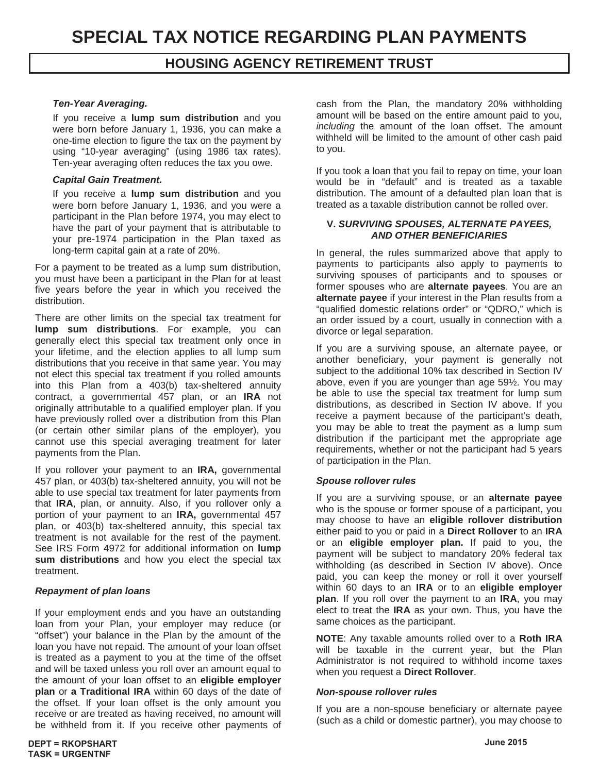#### *Ten-Year Averaging.*

If you receive a **lump sum distribution** and you were born before January 1, 1936, you can make a one-time election to figure the tax on the payment by using "10-year averaging" (using 1986 tax rates). Ten-year averaging often reduces the tax you owe.

#### *Capital Gain Treatment.*

If you receive a **lump sum distribution** and you were born before January 1, 1936, and you were a participant in the Plan before 1974, you may elect to have the part of your payment that is attributable to your pre-1974 participation in the Plan taxed as long-term capital gain at a rate of 20%.

For a payment to be treated as a lump sum distribution, you must have been a participant in the Plan for at least five years before the year in which you received the distribution.

There are other limits on the special tax treatment for **lump sum distributions**. For example, you can generally elect this special tax treatment only once in your lifetime, and the election applies to all lump sum distributions that you receive in that same year. You may not elect this special tax treatment if you rolled amounts into this Plan from a 403(b) tax-sheltered annuity contract, a governmental 457 plan, or an **IRA** not originally attributable to a qualified employer plan. If you have previously rolled over a distribution from this Plan (or certain other similar plans of the employer), you cannot use this special averaging treatment for later payments from the Plan.

If you rollover your payment to an **IRA,** governmental 457 plan, or 403(b) tax-sheltered annuity, you will not be able to use special tax treatment for later payments from that **IRA**, plan, or annuity. Also, if you rollover only a portion of your payment to an **IRA,** governmental 457 plan, or 403(b) tax-sheltered annuity, this special tax treatment is not available for the rest of the payment. See IRS Form 4972 for additional information on **lump sum distributions** and how you elect the special tax treatment.

#### *Repayment of plan loans*

If your employment ends and you have an outstanding loan from your Plan, your employer may reduce (or "offset") your balance in the Plan by the amount of the loan you have not repaid. The amount of your loan offset is treated as a payment to you at the time of the offset and will be taxed unless you roll over an amount equal to the amount of your loan offset to an **eligible employer plan** or **a Traditional IRA** within 60 days of the date of the offset. If your loan offset is the only amount you receive or are treated as having received, no amount will be withheld from it. If you receive other payments of cash from the Plan, the mandatory 20% withholding amount will be based on the entire amount paid to you, *including* the amount of the loan offset. The amount withheld will be limited to the amount of other cash paid to you.

If you took a loan that you fail to repay on time, your loan would be in "default" and is treated as a taxable distribution. The amount of a defaulted plan loan that is treated as a taxable distribution cannot be rolled over.

#### **V.** *SURVIVING SPOUSES, ALTERNATE PAYEES, AND OTHER BENEFICIARIES*

In general, the rules summarized above that apply to payments to participants also apply to payments to surviving spouses of participants and to spouses or former spouses who are **alternate payees**. You are an **alternate payee** if your interest in the Plan results from a "qualified domestic relations order" or "QDRO," which is an order issued by a court, usually in connection with a divorce or legal separation.

If you are a surviving spouse, an alternate payee, or another beneficiary, your payment is generally not subject to the additional 10% tax described in Section IV above, even if you are younger than age 59½. You may be able to use the special tax treatment for lump sum distributions, as described in Section IV above. If you receive a payment because of the participant's death, you may be able to treat the payment as a lump sum distribution if the participant met the appropriate age requirements, whether or not the participant had 5 years of participation in the Plan.

#### *Spouse rollover rules*

If you are a surviving spouse, or an **alternate payee** who is the spouse or former spouse of a participant, you may choose to have an **eligible rollover distribution** either paid to you or paid in a **Direct Rollover** to an **IRA** or an **eligible employer plan.** If paid to you, the payment will be subject to mandatory 20% federal tax withholding (as described in Section IV above). Once paid, you can keep the money or roll it over yourself within 60 days to an **IRA** or to an **eligible employer plan**. If you roll over the payment to an **IRA**, you may elect to treat the **IRA** as your own. Thus, you have the same choices as the participant.

**NOTE**: Any taxable amounts rolled over to a **Roth IRA** will be taxable in the current year, but the Plan Administrator is not required to withhold income taxes when you request a **Direct Rollover**.

#### *Non-spouse rollover rules*

If you are a non-spouse beneficiary or alternate payee (such as a child or domestic partner), you may choose to